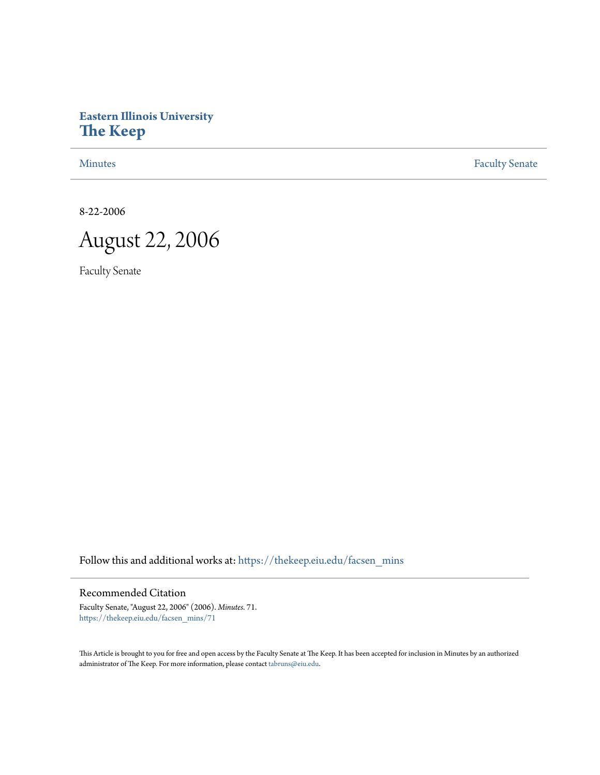# **Eastern Illinois University [The Keep](https://thekeep.eiu.edu?utm_source=thekeep.eiu.edu%2Ffacsen_mins%2F71&utm_medium=PDF&utm_campaign=PDFCoverPages)**

[Minutes](https://thekeep.eiu.edu/facsen_mins?utm_source=thekeep.eiu.edu%2Ffacsen_mins%2F71&utm_medium=PDF&utm_campaign=PDFCoverPages) **[Faculty Senate](https://thekeep.eiu.edu/fac_senate?utm_source=thekeep.eiu.edu%2Ffacsen_mins%2F71&utm_medium=PDF&utm_campaign=PDFCoverPages)** 

8-22-2006

August 22, 2006

Faculty Senate

Follow this and additional works at: [https://thekeep.eiu.edu/facsen\\_mins](https://thekeep.eiu.edu/facsen_mins?utm_source=thekeep.eiu.edu%2Ffacsen_mins%2F71&utm_medium=PDF&utm_campaign=PDFCoverPages)

Recommended Citation

Faculty Senate, "August 22, 2006" (2006). *Minutes*. 71. [https://thekeep.eiu.edu/facsen\\_mins/71](https://thekeep.eiu.edu/facsen_mins/71?utm_source=thekeep.eiu.edu%2Ffacsen_mins%2F71&utm_medium=PDF&utm_campaign=PDFCoverPages)

This Article is brought to you for free and open access by the Faculty Senate at The Keep. It has been accepted for inclusion in Minutes by an authorized administrator of The Keep. For more information, please contact [tabruns@eiu.edu.](mailto:tabruns@eiu.edu)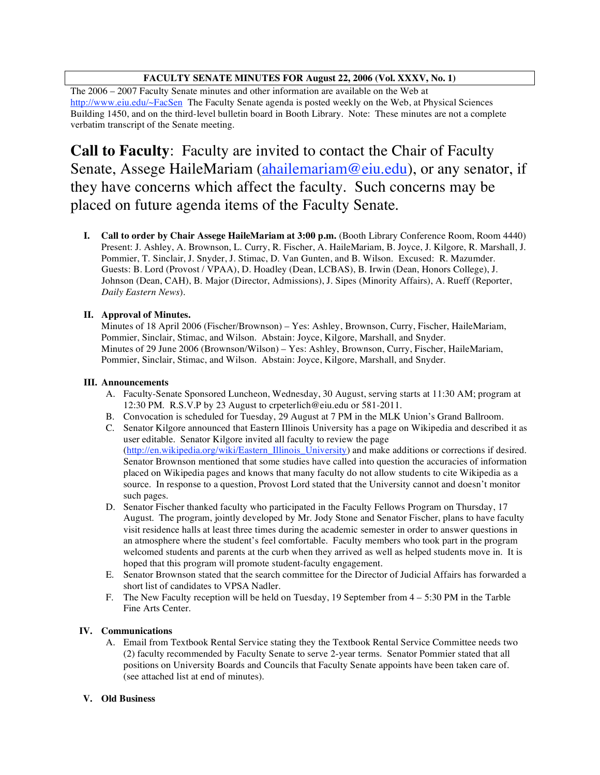## **FACULTY SENATE MINUTES FOR August 22, 2006 (Vol. XXXV, No. 1)**

The 2006 – 2007 Faculty Senate minutes and other information are available on the Web at http://www.eiu.edu/~FacSen The Faculty Senate agenda is posted weekly on the Web, at Physical Sciences Building 1450, and on the third-level bulletin board in Booth Library. Note: These minutes are not a complete verbatim transcript of the Senate meeting.

**Call to Faculty**: Faculty are invited to contact the Chair of Faculty Senate, Assege HaileMariam (ahailemariam@eiu.edu), or any senator, if they have concerns which affect the faculty. Such concerns may be placed on future agenda items of the Faculty Senate.

**I. Call to order by Chair Assege HaileMariam at 3:00 p.m.** (Booth Library Conference Room, Room 4440) Present: J. Ashley, A. Brownson, L. Curry, R. Fischer, A. HaileMariam, B. Joyce, J. Kilgore, R. Marshall, J. Pommier, T. Sinclair, J. Snyder, J. Stimac, D. Van Gunten, and B. Wilson. Excused: R. Mazumder. Guests: B. Lord (Provost / VPAA), D. Hoadley (Dean, LCBAS), B. Irwin (Dean, Honors College), J. Johnson (Dean, CAH), B. Major (Director, Admissions), J. Sipes (Minority Affairs), A. Rueff (Reporter, *Daily Eastern News*).

## **II. Approval of Minutes.**

Minutes of 18 April 2006 (Fischer/Brownson) – Yes: Ashley, Brownson, Curry, Fischer, HaileMariam, Pommier, Sinclair, Stimac, and Wilson. Abstain: Joyce, Kilgore, Marshall, and Snyder. Minutes of 29 June 2006 (Brownson/Wilson) – Yes: Ashley, Brownson, Curry, Fischer, HaileMariam, Pommier, Sinclair, Stimac, and Wilson. Abstain: Joyce, Kilgore, Marshall, and Snyder.

#### **III. Announcements**

- A. Faculty-Senate Sponsored Luncheon, Wednesday, 30 August, serving starts at 11:30 AM; program at 12:30 PM. R.S.V.P by 23 August to crpeterlich@eiu.edu or 581-2011.
- B. Convocation is scheduled for Tuesday, 29 August at 7 PM in the MLK Union's Grand Ballroom.
- C. Senator Kilgore announced that Eastern Illinois University has a page on Wikipedia and described it as user editable. Senator Kilgore invited all faculty to review the page (http://en.wikipedia.org/wiki/Eastern\_Illinois\_University) and make additions or corrections if desired. Senator Brownson mentioned that some studies have called into question the accuracies of information placed on Wikipedia pages and knows that many faculty do not allow students to cite Wikipedia as a source. In response to a question, Provost Lord stated that the University cannot and doesn't monitor such pages.
- D. Senator Fischer thanked faculty who participated in the Faculty Fellows Program on Thursday, 17 August. The program, jointly developed by Mr. Jody Stone and Senator Fischer, plans to have faculty visit residence halls at least three times during the academic semester in order to answer questions in an atmosphere where the student's feel comfortable. Faculty members who took part in the program welcomed students and parents at the curb when they arrived as well as helped students move in. It is hoped that this program will promote student-faculty engagement.
- E. Senator Brownson stated that the search committee for the Director of Judicial Affairs has forwarded a short list of candidates to VPSA Nadler.
- F. The New Faculty reception will be held on Tuesday, 19 September from 4 5:30 PM in the Tarble Fine Arts Center.

### **IV. Communications**

A. Email from Textbook Rental Service stating they the Textbook Rental Service Committee needs two (2) faculty recommended by Faculty Senate to serve 2-year terms. Senator Pommier stated that all positions on University Boards and Councils that Faculty Senate appoints have been taken care of. (see attached list at end of minutes).

### **V. Old Business**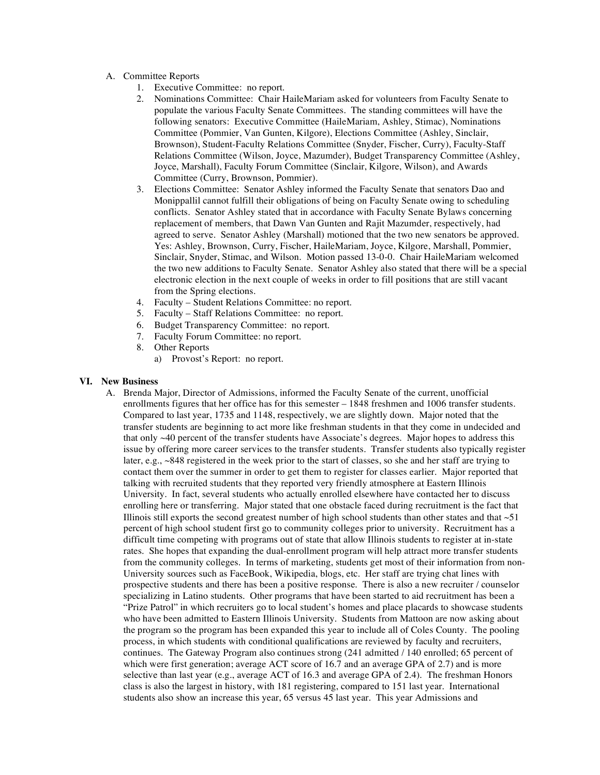- A. Committee Reports
	- 1. Executive Committee: no report.
	- 2. Nominations Committee: Chair HaileMariam asked for volunteers from Faculty Senate to populate the various Faculty Senate Committees. The standing committees will have the following senators: Executive Committee (HaileMariam, Ashley, Stimac), Nominations Committee (Pommier, Van Gunten, Kilgore), Elections Committee (Ashley, Sinclair, Brownson), Student-Faculty Relations Committee (Snyder, Fischer, Curry), Faculty-Staff Relations Committee (Wilson, Joyce, Mazumder), Budget Transparency Committee (Ashley, Joyce, Marshall), Faculty Forum Committee (Sinclair, Kilgore, Wilson), and Awards Committee (Curry, Brownson, Pommier).
	- 3. Elections Committee: Senator Ashley informed the Faculty Senate that senators Dao and Monippallil cannot fulfill their obligations of being on Faculty Senate owing to scheduling conflicts. Senator Ashley stated that in accordance with Faculty Senate Bylaws concerning replacement of members, that Dawn Van Gunten and Rajit Mazumder, respectively, had agreed to serve. Senator Ashley (Marshall) motioned that the two new senators be approved. Yes: Ashley, Brownson, Curry, Fischer, HaileMariam, Joyce, Kilgore, Marshall, Pommier, Sinclair, Snyder, Stimac, and Wilson. Motion passed 13-0-0. Chair HaileMariam welcomed the two new additions to Faculty Senate. Senator Ashley also stated that there will be a special electronic election in the next couple of weeks in order to fill positions that are still vacant from the Spring elections.
	- 4. Faculty Student Relations Committee: no report.
	- 5. Faculty Staff Relations Committee: no report.
	- 6. Budget Transparency Committee: no report.
	- 7. Faculty Forum Committee: no report.
	- 8. Other Reports
		- a) Provost's Report: no report.

#### **VI. New Business**

A. Brenda Major, Director of Admissions, informed the Faculty Senate of the current, unofficial enrollments figures that her office has for this semester – 1848 freshmen and 1006 transfer students. Compared to last year, 1735 and 1148, respectively, we are slightly down. Major noted that the transfer students are beginning to act more like freshman students in that they come in undecided and that only ~40 percent of the transfer students have Associate's degrees. Major hopes to address this issue by offering more career services to the transfer students. Transfer students also typically register later, e.g., ~848 registered in the week prior to the start of classes, so she and her staff are trying to contact them over the summer in order to get them to register for classes earlier. Major reported that talking with recruited students that they reported very friendly atmosphere at Eastern Illinois University. In fact, several students who actually enrolled elsewhere have contacted her to discuss enrolling here or transferring. Major stated that one obstacle faced during recruitment is the fact that Illinois still exports the second greatest number of high school students than other states and that  $\sim$  51 percent of high school student first go to community colleges prior to university. Recruitment has a difficult time competing with programs out of state that allow Illinois students to register at in-state rates. She hopes that expanding the dual-enrollment program will help attract more transfer students from the community colleges. In terms of marketing, students get most of their information from non-University sources such as FaceBook, Wikipedia, blogs, etc. Her staff are trying chat lines with prospective students and there has been a positive response. There is also a new recruiter / counselor specializing in Latino students. Other programs that have been started to aid recruitment has been a "Prize Patrol" in which recruiters go to local student's homes and place placards to showcase students who have been admitted to Eastern Illinois University. Students from Mattoon are now asking about the program so the program has been expanded this year to include all of Coles County. The pooling process, in which students with conditional qualifications are reviewed by faculty and recruiters, continues. The Gateway Program also continues strong (241 admitted / 140 enrolled; 65 percent of which were first generation; average ACT score of 16.7 and an average GPA of 2.7) and is more selective than last year (e.g., average ACT of 16.3 and average GPA of 2.4). The freshman Honors class is also the largest in history, with 181 registering, compared to 151 last year. International students also show an increase this year, 65 versus 45 last year. This year Admissions and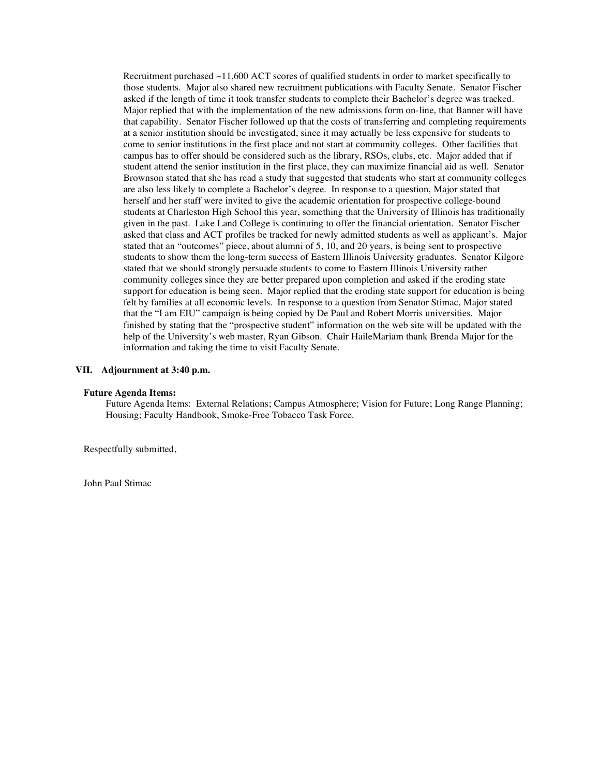Recruitment purchased  $\sim$ 11,600 ACT scores of qualified students in order to market specifically to those students. Major also shared new recruitment publications with Faculty Senate. Senator Fischer asked if the length of time it took transfer students to complete their Bachelor's degree was tracked. Major replied that with the implementation of the new admissions form on-line, that Banner will have that capability. Senator Fischer followed up that the costs of transferring and completing requirements at a senior institution should be investigated, since it may actually be less expensive for students to come to senior institutions in the first place and not start at community colleges. Other facilities that campus has to offer should be considered such as the library, RSOs, clubs, etc. Major added that if student attend the senior institution in the first place, they can maximize financial aid as well. Senator Brownson stated that she has read a study that suggested that students who start at community colleges are also less likely to complete a Bachelor's degree. In response to a question, Major stated that herself and her staff were invited to give the academic orientation for prospective college-bound students at Charleston High School this year, something that the University of Illinois has traditionally given in the past. Lake Land College is continuing to offer the financial orientation. Senator Fischer asked that class and ACT profiles be tracked for newly admitted students as well as applicant's. Major stated that an "outcomes" piece, about alumni of 5, 10, and 20 years, is being sent to prospective students to show them the long-term success of Eastern Illinois University graduates. Senator Kilgore stated that we should strongly persuade students to come to Eastern Illinois University rather community colleges since they are better prepared upon completion and asked if the eroding state support for education is being seen. Major replied that the eroding state support for education is being felt by families at all economic levels. In response to a question from Senator Stimac, Major stated that the "I am EIU" campaign is being copied by De Paul and Robert Morris universities. Major finished by stating that the "prospective student" information on the web site will be updated with the help of the University's web master, Ryan Gibson. Chair HaileMariam thank Brenda Major for the information and taking the time to visit Faculty Senate.

#### **VII. Adjournment at 3:40 p.m.**

#### **Future Agenda Items:**

Future Agenda Items: External Relations; Campus Atmosphere; Vision for Future; Long Range Planning; Housing; Faculty Handbook, Smoke-Free Tobacco Task Force.

Respectfully submitted,

John Paul Stimac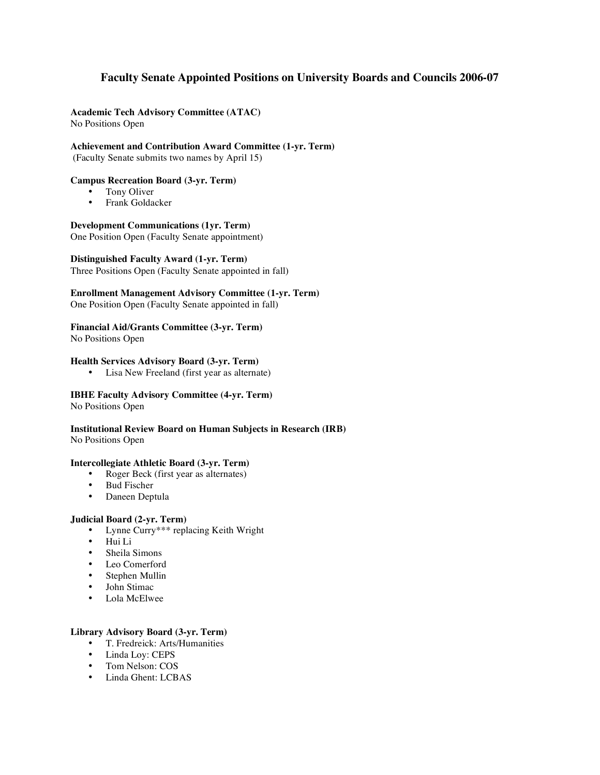# **Faculty Senate Appointed Positions on University Boards and Councils 2006-07**

#### **Academic Tech Advisory Committee (ATAC)** No Positions Open

### **Achievement and Contribution Award Committee (1-yr. Term)**

(Faculty Senate submits two names by April 15)

### **Campus Recreation Board (3-yr. Term)**

- Tony Oliver<br>• Frank Golda
- Frank Goldacker

### **Development Communications (1yr. Term)**

One Position Open (Faculty Senate appointment)

### **Distinguished Faculty Award (1-yr. Term)**

Three Positions Open (Faculty Senate appointed in fall)

## **Enrollment Management Advisory Committee (1-yr. Term)**

One Position Open (Faculty Senate appointed in fall)

## **Financial Aid/Grants Committee (3-yr. Term)**

No Positions Open

### **Health Services Advisory Board (3-yr. Term)**

• Lisa New Freeland (first year as alternate)

### **IBHE Faculty Advisory Committee (4-yr. Term)**

No Positions Open

# **Institutional Review Board on Human Subjects in Research (IRB)**

No Positions Open

### **Intercollegiate Athletic Board (3-yr. Term)**

- Roger Beck (first year as alternates)
- Bud Fischer
- Daneen Deptula

### **Judicial Board (2-yr. Term)**

- Lynne Curry\*\*\* replacing Keith Wright
- Hui Li
- Sheila Simons
- Leo Comerford
- Stephen Mullin
- John Stimac<br>•  $I_0$ la McElw
- Lola McElwee

### **Library Advisory Board (3-yr. Term)**

- T. Fredreick: Arts/Humanities
- Linda Loy: CEPS
- Tom Nelson: COS
- Linda Ghent: LCBAS